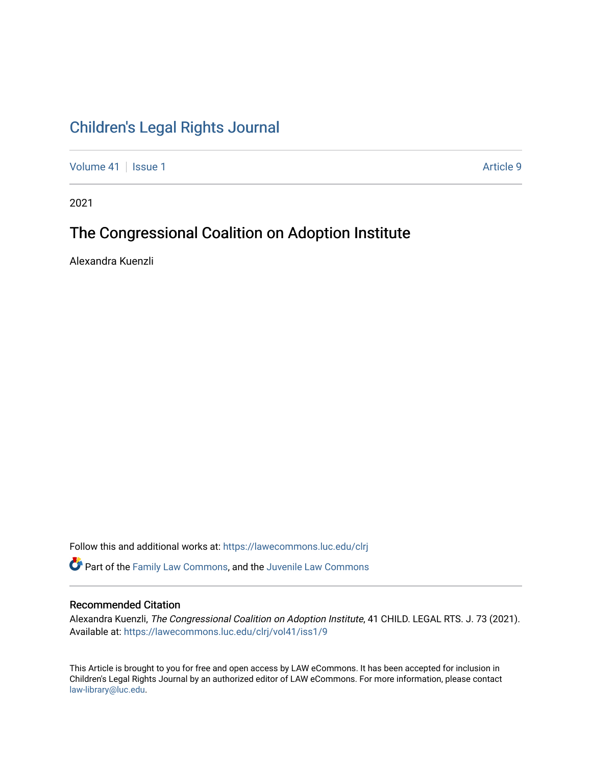# [Children's Legal Rights Journal](https://lawecommons.luc.edu/clrj)

[Volume 41](https://lawecommons.luc.edu/clrj/vol41) | [Issue 1](https://lawecommons.luc.edu/clrj/vol41/iss1) Article 9

2021

# The Congressional Coalition on Adoption Institute

Alexandra Kuenzli

Follow this and additional works at: [https://lawecommons.luc.edu/clrj](https://lawecommons.luc.edu/clrj?utm_source=lawecommons.luc.edu%2Fclrj%2Fvol41%2Fiss1%2F9&utm_medium=PDF&utm_campaign=PDFCoverPages)

Part of the [Family Law Commons,](http://network.bepress.com/hgg/discipline/602?utm_source=lawecommons.luc.edu%2Fclrj%2Fvol41%2Fiss1%2F9&utm_medium=PDF&utm_campaign=PDFCoverPages) and the [Juvenile Law Commons](http://network.bepress.com/hgg/discipline/851?utm_source=lawecommons.luc.edu%2Fclrj%2Fvol41%2Fiss1%2F9&utm_medium=PDF&utm_campaign=PDFCoverPages) 

#### Recommended Citation

Alexandra Kuenzli, The Congressional Coalition on Adoption Institute, 41 CHILD. LEGAL RTS. J. 73 (2021). Available at: [https://lawecommons.luc.edu/clrj/vol41/iss1/9](https://lawecommons.luc.edu/clrj/vol41/iss1/9?utm_source=lawecommons.luc.edu%2Fclrj%2Fvol41%2Fiss1%2F9&utm_medium=PDF&utm_campaign=PDFCoverPages) 

This Article is brought to you for free and open access by LAW eCommons. It has been accepted for inclusion in Children's Legal Rights Journal by an authorized editor of LAW eCommons. For more information, please contact [law-library@luc.edu](mailto:law-library@luc.edu).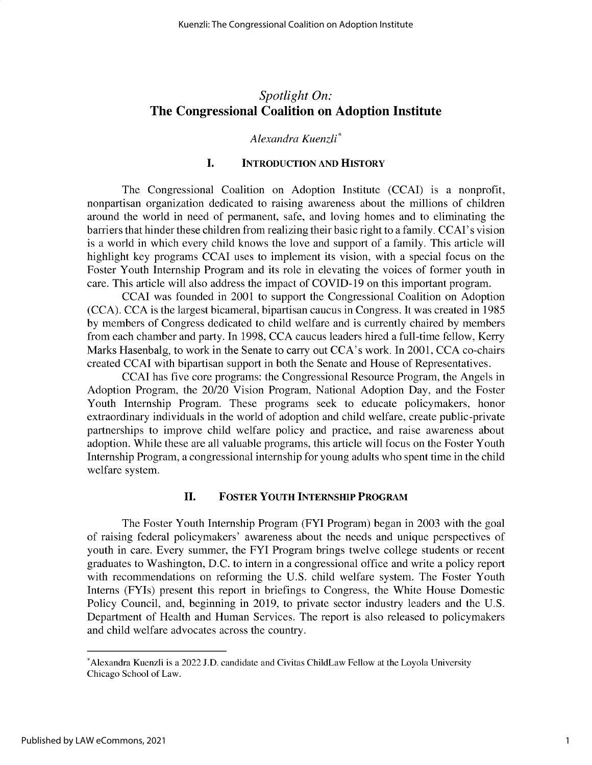## *Spotlight On:* **The Congressional Coalition on Adoption Institute**

### *Alexandra Kuenzli\**

### **I. INTRODUCTION AND HISTORY**

The Congressional Coalition on Adoption Institute (CCAI) is a nonprofit, nonpartisan organization dedicated to raising awareness about the millions of children around the world in need of permanent, safe, and loving homes and to eliminating the barriers that hinder these children from realizing their basic right to a family. CCAI's vision is a world in which every child knows the love and support of a family. This article will highlight key programs CCAI uses to implement its vision, with a special focus on the Foster Youth Internship Program and its role in elevating the voices of former youth in care. This article will also address the impact of COVID-19 on this important program.

CCAI was founded in 2001 to support the Congressional Coalition on Adoption (CCA). CCA is the largest bicameral, bipartisan caucus in Congress. It was created in *1985* by members of Congress dedicated to child welfare and is currently chaired by members from each chamber and party. In 1998, CCA caucus leaders hired a full-time fellow, Kerry Marks Hasenbalg, to work in the Senate to carry out CCA's work. In 2001, CCA co-chairs created CCAI with bipartisan support in both the Senate and House of Representatives.

CCAI has five core programs: the Congressional Resource Program, the Angels in Adoption Program, the 20/20 Vision Program, National Adoption Day, and the Foster Youth Internship Program. These programs seek to educate policymakers, honor extraordinary individuals in the world of adoption and child welfare, create public-private partnerships to improve child welfare policy and practice, and raise awareness about adoption. While these are all valuable programs, this article will focus on the Foster Youth Internship Program, a congressional internship for young adults who spent time in the child welfare system.

#### **II. FOSTER YOUTH INTERNSHIP PROGRAM**

The Foster Youth Internship Program (FYI Program) began in 2003 with the goal of raising federal policymakers' awareness about the needs and unique perspectives of youth in care. Every summer, the FYI Program brings twelve college students or recent graduates to Washington, D.C. to intern in a congressional office and write a policy report with recommendations on reforming the U.S. child welfare system. The Foster Youth Interns (FYIs) present this report in briefings to Congress, the White House Domestic Policy Council, and, beginning in 2019, to private sector industry leaders and the U.S. Department of Health and Human Services. The report is also released to policymakers and child welfare advocates across the country.

<sup>\*</sup>Alexandra Kuenzli is a 2022 **J.D.** candidate and Civitas ChildLaw Fellow at the Loyola University Chicago School of Law.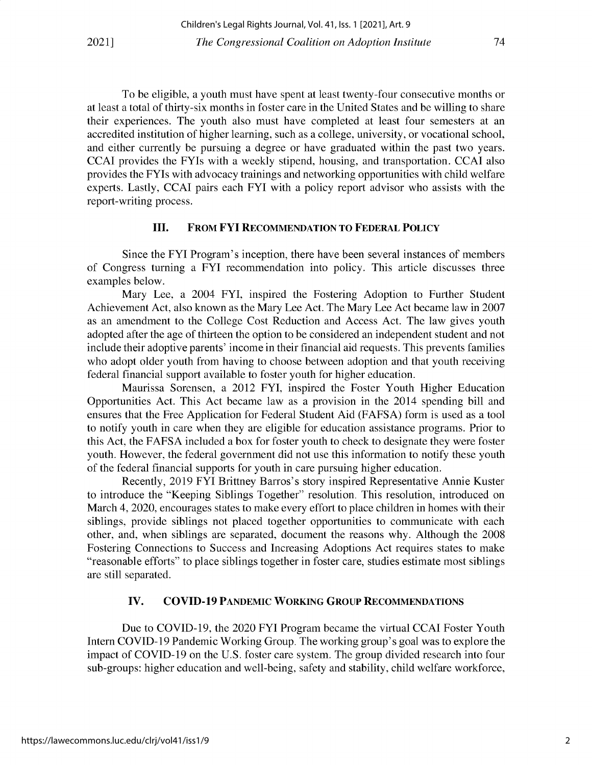To be eligible, a youth must have spent at least twenty-four consecutive months or at least a total of thirty-six months in foster care in the United States and be willing to share their experiences. The youth also must have completed at least four semesters at an accredited institution of higher learning, such as a college, university, or vocational school, and either currently be pursuing a degree or have graduated within the past two years. CCAI provides the FYIs with a weekly stipend, housing, and transportation. CCAI also provides the FYIs with advocacy trainings and networking opportunities with child welfare experts. Lastly, CCAI pairs each FYI with a policy report advisor who assists with the report-writing process.

#### **III. FROM FYI RECOMMENDATION TO FEDERAL POLICY**

Since the FYI Program's inception, there have been several instances of members of Congress turning a FYI recommendation into policy. This article discusses three examples below.

Mary Lee, a 2004 FYI, inspired the Fostering Adoption to Further Student Achievement Act, also known as the Mary Lee Act. The Mary Lee Act became law in 2007 as an amendment to the College Cost Reduction and Access Act. The law gives youth adopted after the age of thirteen the option to be considered an independent student and not include their adoptive parents' income in their financial aid requests. This prevents families who adopt older youth from having to choose between adoption and that youth receiving federal financial support available to foster youth for higher education.

Maurissa Sorensen, a 2012 FYI, inspired the Foster Youth Higher Education Opportunities Act. This Act became law as a provision in the 2014 spending bill and ensures that the Free Application for Federal Student Aid (FAFSA) form is used as a tool to notify youth in care when they are eligible for education assistance programs. Prior to this Act, the FAFSA included a box for foster youth to check to designate they were foster youth. However, the federal government did not use this information to notify these youth of the federal financial supports for youth in care pursuing higher education.

Recently, 2019 FYI Brittney Barros's story inspired Representative Annie Kuster to introduce the "Keeping Siblings Together" resolution. This resolution, introduced on March 4, 2020, encourages states to make every effort to place children in homes with their siblings, provide siblings not placed together opportunities to communicate with each other, and, when siblings are separated, document the reasons why. Although the 2008 Fostering Connections to Success and Increasing Adoptions Act requires states to make "reasonable efforts" to place siblings together in foster care, studies estimate most siblings are still separated.

#### **IV. COVID-19 PANDEMIC WORKING GROUP RECOMMENDATIONS**

Due to COVID-19, the 2020 FYI Program became the virtual CCAI Foster Youth Intern COVID-19 Pandemic Working Group. The working group's goal was to explore the impact of COVID-19 on the U.S. foster care system. The group divided research into four sub-groups: higher education and well-being, safety and stability, child welfare workforce,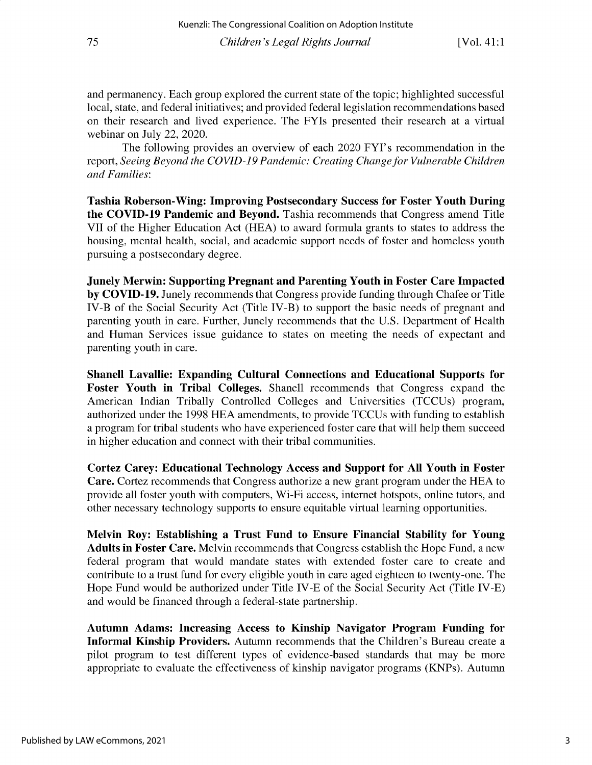and permanency. Each group explored the current state of the topic; highlighted successful local, state, and federal initiatives; and provided federal legislation recommendations based on their research and lived experience. The FYIs presented their research at a virtual webinar on July 22, 2020.

The following provides an overview of each 2020 FYI's recommendation in the report, *Seeing Beyond the COVID-19 Pandemic: Creating Change for Vulnerable Children and Families:*

**Tashia Roberson-Wing: Improving Postsecondary Success for Foster Youth During the COVID-19 Pandemic and Beyond.** Tashia recommends that Congress amend Title VII of the Higher Education Act (HEA) to award formula grants to states to address the housing, mental health, social, and academic support needs of foster and homeless youth pursuing a postsecondary degree.

**Junely Merwin: Supporting Pregnant and Parenting Youth in Foster Care Impacted by COVID-19.** Junely recommends that Congress provide funding through Chafee or Title IV-B of the Social Security Act (Title IV-B) to support the basic needs of pregnant and parenting youth in care. Further, Junely recommends that the U.S. Department of Health and Human Services issue guidance to states on meeting the needs of expectant and parenting youth in care.

**Shanell Lavallie: Expanding Cultural Connections and Educational Supports for Foster Youth in Tribal Colleges.** Shanell recommends that Congress expand the American Indian Tribally Controlled Colleges and Universities (TCCUs) program, authorized under the 1998 HEA amendments, to provide TCCUs with funding to establish a program for tribal students who have experienced foster care that will help them succeed in higher education and connect with their tribal communities.

**Cortez Carey: Educational Technology Access and Support for All Youth in Foster Care. Cortez** recommends that Congress authorize **a** new grant program under the HEA to provide all foster youth with computers, Wi-Fi access, internet hotspots, online tutors, and other necessary technology supports to ensure equitable virtual learning opportunities.

**Melvin Roy: Establishing a Trust Fund to Ensure Financial Stability for Young Adults in Foster Care.** Melvin recommends that Congress establish the Hope Fund, a new federal program that would mandate states with extended foster care to create and contribute to a trust fund for every eligible youth in care aged eighteen to twenty-one. The Hope Fund would be authorized under Title IV-E of the Social Security Act (Title IV-E) and would be financed through a federal-state partnership.

**Autumn Adams: Increasing Access to Kinship Navigator Program Funding for Informal Kinship Providers.** Autumn recommends that the Children's Bureau create a pilot program to test different types of evidence-based standards that may be more appropriate to evaluate the effectiveness of kinship navigator programs (KNPs). Autumn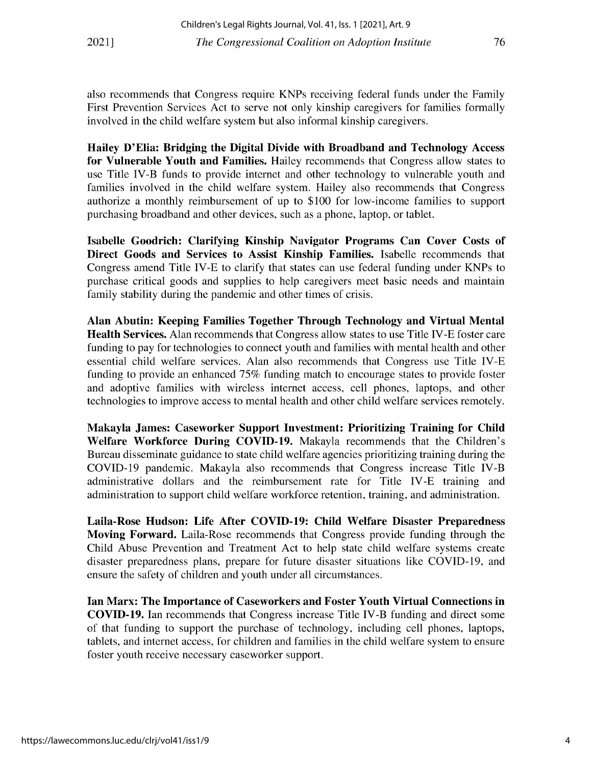also recommends that Congress require KNPs receiving federal funds under the Family First Prevention Services Act to serve not only kinship caregivers for families formally involved in the child welfare system but also informal kinship caregivers.

**Hailey D'Elia: Bridging the Digital Divide with Broadband and Technology Access for Vulnerable Youth and Families.** Hailey recommends that Congress allow states to use Title **IV-B** funds to provide internet and other technology to vulnerable youth and families involved in the child welfare system. Hailey also recommends that Congress authorize a monthly reimbursement of up to \$100 for low-income families to support purchasing broadband and other devices, such as a phone, laptop, or tablet.

**Isabelle Goodrich: Clarifying Kinship Navigator Programs Can Cover Costs of Direct Goods and Services to Assist Kinship Families.** Isabelle recommends that Congress amend Title **IV-E to** clarify that states can use federal funding under KNPs to purchase critical goods and supplies to help caregivers meet basic needs and maintain family stability during the pandemic and other times of crisis.

**Alan Abutin: Keeping Families Together Through Technology and Virtual Mental Health Services.** Alan recommends that Congress allow states to use Title **IV-E** foster care funding to pay for technologies to connect youth and families with mental health and other essential child welfare services. Alan also recommends that Congress use Title IV-E funding to provide an enhanced *75%* funding match to encourage states to provide foster and adoptive families with wireless internet access, cell phones, laptops, and other technologies to improve access to mental health and other child welfare services remotely.

**Makayla James: Caseworker Support Investment: Prioritizing Training for Child Welfare Workforce During COVID-19.** Makayla recommends that the Children's Bureau disseminate guidance to state child welfare agencies prioritizing training during the COVID-19 pandemic. Makayla also recommends that Congress increase Title IV-B administrative dollars and the reimbursement rate for Title IV-E training and administration to support child welfare workforce retention, training, and administration.

**Laila-Rose Hudson: Life After COVID-19: Child Welfare Disaster Preparedness Moving Forward.** Laila-Rose recommends that Congress provide funding through the Child Abuse Prevention and Treatment Act to help state child welfare systems create disaster preparedness plans, prepare for future disaster situations like COVID-19, and ensure the safety of children and youth under all circumstances.

**Ian Marx: The Importance of Caseworkers and Foster Youth Virtual Connections in COVID-19. Ian** recommends that Congress increase Title IV-B funding and direct some of that funding to support the purchase of technology, including cell phones, laptops, tablets, and internet access, for children and families in the child welfare system to ensure foster youth receive necessary caseworker support.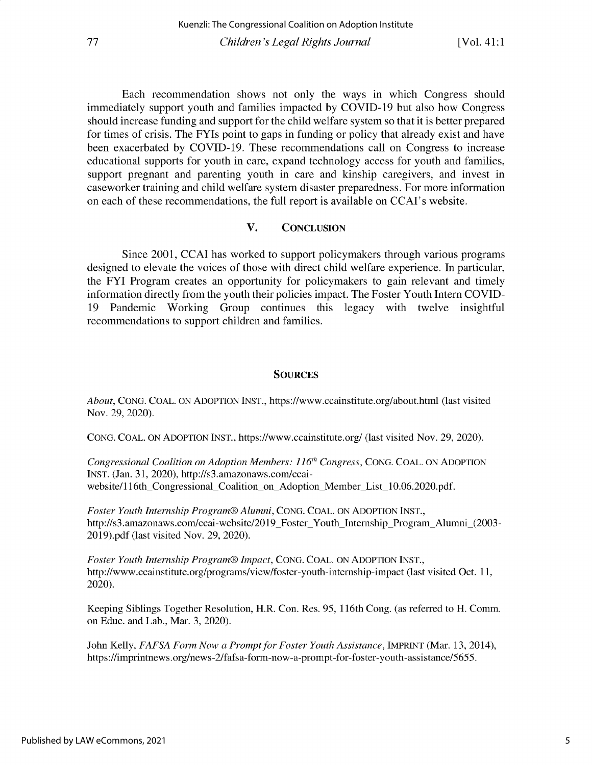Each recommendation shows not only the ways in which Congress should immediately support youth and families impacted by COVID-19 but also how Congress should increase funding and support for the child welfare system so that it is better prepared for times of crisis. The FYIs point to gaps in funding or policy that already exist and have been exacerbated by COVID-19. These recommendations call on Congress to increase educational supports for youth in care, expand technology access for youth and families, support pregnant and parenting youth in care and kinship caregivers, and invest in caseworker training and child welfare system disaster preparedness. For more information on each of these recommendations, the full report is available on CCAI's website.

#### V. CONCLUSION

Since 2001, CCAI has worked to support policymakers through various programs designed to elevate the voices of those with direct child welfare experience. In particular, the FYI Program creates an opportunity for policymakers to gain relevant and timely information directly from the youth their policies impact. The Foster Youth Intern COVID-19 Pandemic Working Group continues this legacy with twelve insightful recommendations to support children and families.

#### **SOURCES**

*About,* CONG. COAL. ON ADOPTION INST., https://www.ccainstitute.org/about.html (last visited Nov. 29, 2020).

CONG. COAL. ON ADOPTION INST., https://www.ccainstitute.org/ (last visited Nov. 29, 2020).

*Congressional Coalition on Adoption Members: 116`h Congress,* CONG. COAL. ON ADOPTION INST. (Jan. 31, 2020), http://s3.amazonaws.com/ccaiwebsite/116th\_Congressional\_Coalition\_on\_Adoption\_Member\_List\_10.06.2020.pdf.

*Foster Youth Internship Program® Alumni,* CONG. COAL. ON ADOPTION INST., http://s3. amazonaws.com/ccai-website/2019 Foster Youth Internship Program Alumni (2003-2019).pdf (last visited Nov. 29, 2020).

*Foster Youth Internship Program® Impact,* CONG. COAL. ON ADOPTION INST., http://www.ccainstitute.org/programs/view/foster-youth-internship-impact (last visited Oct. 11, 2020).

Keeping Siblings Together Resolution, H.R. Con. Res. *95,* 116th Cong. (as referred to H. Comm. on Educ. and Lab., Mar. 3, 2020).

John Kelly, *FAFSA Form Now a Prompt for Foster Youth Assistance,* IMPRINT (Mar. 13, 2014), https://imprintnews. org/news-2/fafsa-form-now-a-prompt-for-foster-youth-assistance/5655.